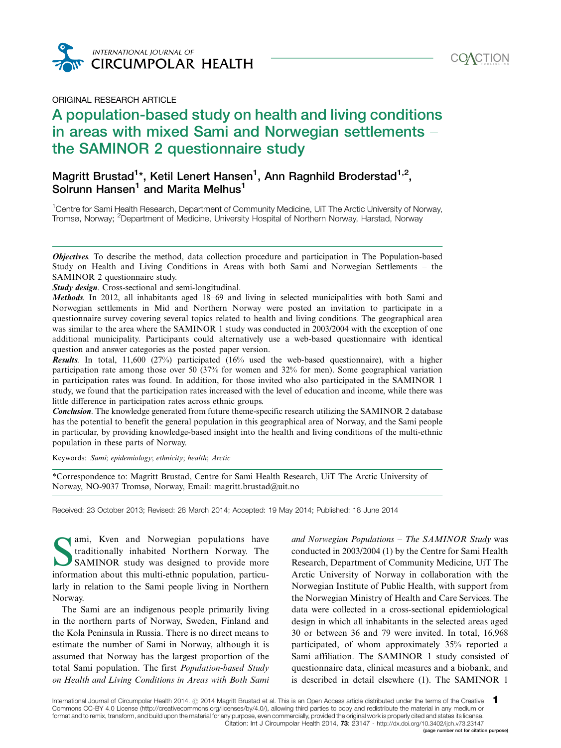

# ORIGINAL RESEARCH ARTICLE

# A population-based study on health and living conditions in areas with mixed Sami and Norwegian settlements  $$ the SAMINOR 2 questionnaire study

-

# Magritt Brustad<sup>1\*</sup>, Ketil Lenert Hansen<sup>1</sup>, Ann Ragnhild Broderstad<sup>1,2</sup>, Solrunn Hansen<sup>1</sup> and Marita Melhus<sup>1</sup>

<sup>1</sup>Centre for Sami Health Research, Department of Community Medicine, UiT The Arctic University of Norway, Tromsø, Norway; <sup>2</sup>Department of Medicine, University Hospital of Northern Norway, Harstad, Norway

**Objectives**. To describe the method, data collection procedure and participation in The Population-based Study on Health and Living Conditions in Areas with both Sami and Norwegian Settlements - the SAMINOR 2 questionnaire study.

Study design. Cross-sectional and semi-longitudinal.

Methods. In 2012, all inhabitants aged 18–69 and living in selected municipalities with both Sami and Norwegian settlements in Mid and Northern Norway were posted an invitation to participate in a questionnaire survey covering several topics related to health and living conditions. The geographical area was similar to the area where the SAMINOR 1 study was conducted in 2003/2004 with the exception of one additional municipality. Participants could alternatively use a web-based questionnaire with identical question and answer categories as the posted paper version.

**Results.** In total, 11,600 (27%) participated (16% used the web-based questionnaire), with a higher participation rate among those over 50 (37% for women and 32% for men). Some geographical variation in participation rates was found. In addition, for those invited who also participated in the SAMINOR 1 study, we found that the participation rates increased with the level of education and income, while there was little difference in participation rates across ethnic groups.

Conclusion. The knowledge generated from future theme-specific research utilizing the SAMINOR 2 database has the potential to benefit the general population in this geographical area of Norway, and the Sami people in particular, by providing knowledge-based insight into the health and living conditions of the multi-ethnic population in these parts of Norway.

Keywords: Sami; epidemiology; ethnicity; health; Arctic

\*Correspondence to: Magritt Brustad, Centre for Sami Health Research, UiT The Arctic University of Norway, NO-9037 Tromsø, Norway, Email: magritt.brustad@uit.no

Received: 23 October 2013; Revised: 28 March 2014; Accepted: 19 May 2014; Published: 18 June 2014

ami, Kven and Norwegian populations have<br>traditionally inhabited Northern Norway. The<br>SAMINOR study was designed to provide more traditionally inhabited Northern Norway. The SAMINOR study was designed to provide more information about this multi-ethnic population, particularly in relation to the Sami people living in Northern Norway.

The Sami are an indigenous people primarily living in the northern parts of Norway, Sweden, Finland and the Kola Peninsula in Russia. There is no direct means to estimate the number of Sami in Norway, although it is assumed that Norway has the largest proportion of the total Sami population. The first Population-based Study on Health and Living Conditions in Areas with Both Sami

and Norwegian Populations - The SAMINOR Study was conducted in 2003/2004 (1) by the Centre for Sami Health Research, Department of Community Medicine, UiT The Arctic University of Norway in collaboration with the Norwegian Institute of Public Health, with support from the Norwegian Ministry of Health and Care Services. The data were collected in a cross-sectional epidemiological design in which all inhabitants in the selected areas aged 30 or between 36 and 79 were invited. In total, 16,968 participated, of whom approximately 35% reported a Sami affiliation. The SAMINOR 1 study consisted of questionnaire data, clinical measures and a biobank, and is described in detail elsewhere (1). The SAMINOR 1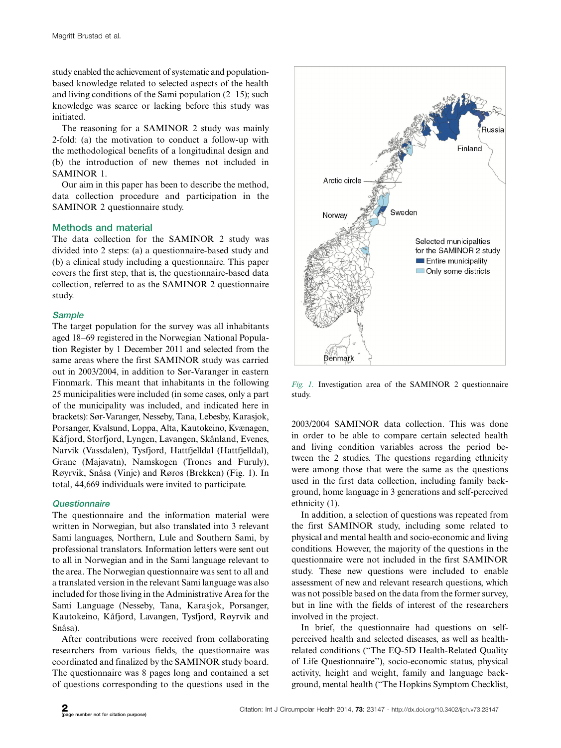study enabled the achievement of systematic and populationbased knowledge related to selected aspects of the health and living conditions of the Sami population (2-15); such knowledge was scarce or lacking before this study was initiated.

The reasoning for a SAMINOR 2 study was mainly 2-fold: (a) the motivation to conduct a follow-up with the methodological benefits of a longitudinal design and (b) the introduction of new themes not included in SAMINOR 1.

Our aim in this paper has been to describe the method, data collection procedure and participation in the SAMINOR 2 questionnaire study.

# Methods and material

The data collection for the SAMINOR 2 study was divided into 2 steps: (a) a questionnaire-based study and (b) a clinical study including a questionnaire. This paper covers the first step, that is, the questionnaire-based data collection, referred to as the SAMINOR 2 questionnaire study.

#### **Sample**

The target population for the survey was all inhabitants aged 18-69 registered in the Norwegian National Population Register by 1 December 2011 and selected from the same areas where the first SAMINOR study was carried out in 2003/2004, in addition to Sør-Varanger in eastern Finnmark. This meant that inhabitants in the following 25 municipalities were included (in some cases, only a part of the municipality was included, and indicated here in brackets): Sør-Varanger, Nesseby, Tana, Lebesby, Karasjok, Porsanger, Kvalsund, Loppa, Alta, Kautokeino, Kvænagen, Kåfjord, Storfjord, Lyngen, Lavangen, Skånland, Evenes, Narvik (Vassdalen), Tysfjord, Hattfjelldal (Hattfjelldal), Grane (Majavatn), Namskogen (Trones and Furuly), Røyrvik, Snåsa (Vinje) and Røros (Brekken) (Fig. 1). In total, 44,669 individuals were invited to participate.

#### **Questionnaire**

The questionnaire and the information material were written in Norwegian, but also translated into 3 relevant Sami languages, Northern, Lule and Southern Sami, by professional translators. Information letters were sent out to all in Norwegian and in the Sami language relevant to the area. The Norwegian questionnaire was sent to all and a translated version in the relevant Sami language was also included for those living in the Administrative Area for the Sami Language (Nesseby, Tana, Karasjok, Porsanger, Kautokeino, Kåfjord, Lavangen, Tysfjord, Røyrvik and Snåsa).

After contributions were received from collaborating researchers from various fields, the questionnaire was coordinated and finalized by the SAMINOR study board. The questionnaire was 8 pages long and contained a set of questions corresponding to the questions used in the



Fig. 1. Investigation area of the SAMINOR 2 questionnaire study.

2003/2004 SAMINOR data collection. This was done in order to be able to compare certain selected health and living condition variables across the period between the 2 studies. The questions regarding ethnicity were among those that were the same as the questions used in the first data collection, including family background, home language in 3 generations and self-perceived ethnicity (1).

In addition, a selection of questions was repeated from the first SAMINOR study, including some related to physical and mental health and socio-economic and living conditions. However, the majority of the questions in the questionnaire were not included in the first SAMINOR study. These new questions were included to enable assessment of new and relevant research questions, which was not possible based on the data from the former survey, but in line with the fields of interest of the researchers involved in the project.

In brief, the questionnaire had questions on selfperceived health and selected diseases, as well as healthrelated conditions (''The EQ-5D Health-Related Quality of Life Questionnaire''), socio-economic status, physical activity, height and weight, family and language background, mental health (''The Hopkins Symptom Checklist,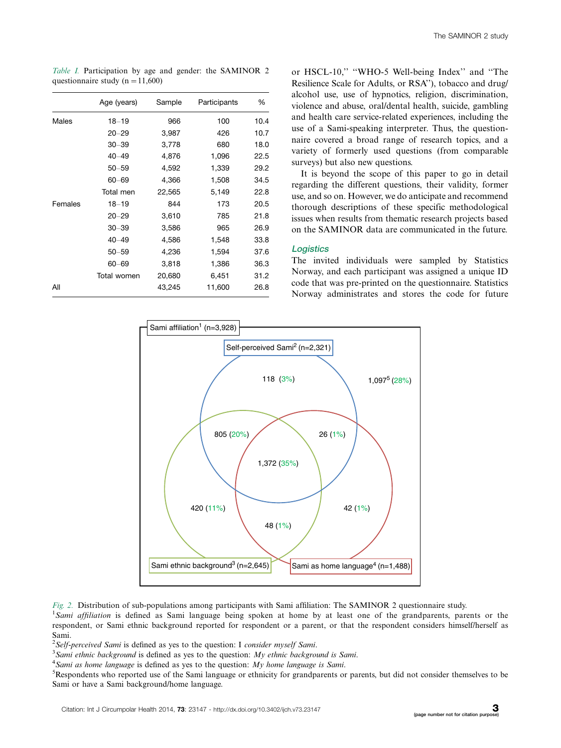|         | Age (years) | Sample | Participants | %    |
|---------|-------------|--------|--------------|------|
| Males   | $18 - 19$   | 966    | 100          | 10.4 |
|         | $20 - 29$   | 3,987  | 426          | 10.7 |
|         | $30 - 39$   | 3,778  | 680          | 18.0 |
|         | $40 - 49$   | 4,876  | 1,096        | 22.5 |
|         | $50 - 59$   | 4,592  | 1,339        | 29.2 |
|         | $60 - 69$   | 4,366  | 1,508        | 34.5 |
|         | Total men   | 22,565 | 5,149        | 22.8 |
| Females | $18 - 19$   | 844    | 173          | 20.5 |
|         | $20 - 29$   | 3,610  | 785          | 21.8 |
|         | $30 - 39$   | 3,586  | 965          | 26.9 |
|         | $40 - 49$   | 4,586  | 1,548        | 33.8 |
|         | $50 - 59$   | 4,236  | 1,594        | 37.6 |
|         | $60 - 69$   | 3,818  | 1,386        | 36.3 |
|         | Total women | 20,680 | 6,451        | 31.2 |
| All     |             | 43,245 | 11,600       | 26.8 |

Table I. Participation by age and gender: the SAMINOR 2 questionnaire study (n =  $11,600$ )

The SAMINOR 2 study

or HSCL-10,'' ''WHO-5 Well-being Index'' and ''The Resilience Scale for Adults, or RSA''), tobacco and drug/ alcohol use, use of hypnotics, religion, discrimination, violence and abuse, oral/dental health, suicide, gambling and health care service-related experiences, including the use of a Sami-speaking interpreter. Thus, the questionnaire covered a broad range of research topics, and a variety of formerly used questions (from comparable surveys) but also new questions.

It is beyond the scope of this paper to go in detail regarding the different questions, their validity, former use, and so on. However, we do anticipate and recommend thorough descriptions of these specific methodological issues when results from thematic research projects based on the SAMINOR data are communicated in the future.

#### **Logistics**

The invited individuals were sampled by Statistics Norway, and each participant was assigned a unique ID code that was pre-printed on the questionnaire. Statistics Norway administrates and stores the code for future



Fig. 2. Distribution of sub-populations among participants with Sami affiliation: The SAMINOR 2 questionnaire study.

<sup>1</sup>Sami affiliation is defined as Sami language being spoken at home by at least one of the grandparents, parents or the respondent, or Sami ethnic background reported for respondent or a parent, or that the respondent considers himself/herself as Sami.

 ${}^{2}$ Self-perceived Sami is defined as yes to the question: I consider myself Sami.<br> ${}^{3}$ Sami athric hackground is defined as yes to the question: My athric hackground

 $3$ Sami ethnic background is defined as yes to the question: My ethnic background is Sami.

 $4$ Sami as home language is defined as yes to the question: My home language is Sami.

<sup>5</sup>Respondents who reported use of the Sami language or ethnicity for grandparents or parents, but did not consider themselves to be Sami or have a Sami background/home language.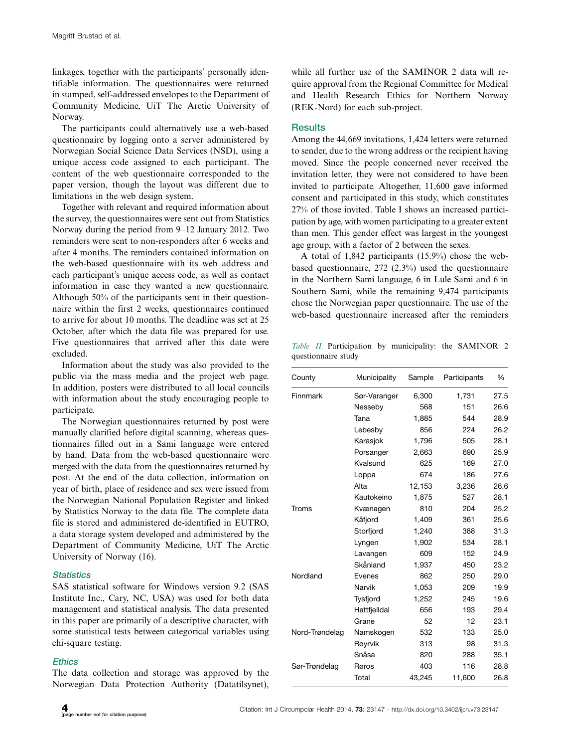linkages, together with the participants' personally identifiable information. The questionnaires were returned in stamped, self-addressed envelopes to the Department of Community Medicine, UiT The Arctic University of Norway.

The participants could alternatively use a web-based questionnaire by logging onto a server administered by Norwegian Social Science Data Services (NSD), using a unique access code assigned to each participant. The content of the web questionnaire corresponded to the paper version, though the layout was different due to limitations in the web design system.

Together with relevant and required information about the survey, the questionnaires were sent out from Statistics Norway during the period from 9-12 January 2012. Two reminders were sent to non-responders after 6 weeks and after 4 months. The reminders contained information on the web-based questionnaire with its web address and each participant's unique access code, as well as contact information in case they wanted a new questionnaire. Although 50% of the participants sent in their questionnaire within the first 2 weeks, questionnaires continued to arrive for about 10 months. The deadline was set at 25 October, after which the data file was prepared for use. Five questionnaires that arrived after this date were excluded.

Information about the study was also provided to the public via the mass media and the project web page. In addition, posters were distributed to all local councils with information about the study encouraging people to participate.

The Norwegian questionnaires returned by post were manually clarified before digital scanning, whereas questionnaires filled out in a Sami language were entered by hand. Data from the web-based questionnaire were merged with the data from the questionnaires returned by post. At the end of the data collection, information on year of birth, place of residence and sex were issued from the Norwegian National Population Register and linked by Statistics Norway to the data file. The complete data file is stored and administered de-identified in EUTRO, a data storage system developed and administered by the Department of Community Medicine, UiT The Arctic University of Norway (16).

#### **Statistics**

SAS statistical software for Windows version 9.2 (SAS Institute Inc., Cary, NC, USA) was used for both data management and statistical analysis. The data presented in this paper are primarily of a descriptive character, with some statistical tests between categorical variables using chi-square testing.

#### **Ethics**

The data collection and storage was approved by the Norwegian Data Protection Authority (Datatilsynet),

while all further use of the SAMINOR 2 data will require approval from the Regional Committee for Medical and Health Research Ethics for Northern Norway (REK-Nord) for each sub-project.

#### Results

Among the 44,669 invitations, 1,424 letters were returned to sender, due to the wrong address or the recipient having moved. Since the people concerned never received the invitation letter, they were not considered to have been invited to participate. Altogether, 11,600 gave informed consent and participated in this study, which constitutes 27% of those invited. Table I shows an increased participation by age, with women participating to a greater extent than men. This gender effect was largest in the youngest age group, with a factor of 2 between the sexes.

A total of 1,842 participants (15.9%) chose the webbased questionnaire, 272 (2.3%) used the questionnaire in the Northern Sami language, 6 in Lule Sami and 6 in Southern Sami, while the remaining 9,474 participants chose the Norwegian paper questionnaire. The use of the web-based questionnaire increased after the reminders

Table II. Participation by municipality: the SAMINOR 2 questionnaire study

| County         | Municipality | Sample | Participants | %    |
|----------------|--------------|--------|--------------|------|
| Finnmark       | Sør-Varanger | 6,300  | 1,731        | 27.5 |
|                | Nesseby      | 568    | 151          | 26.6 |
|                | Tana         | 1,885  | 544          | 28.9 |
|                | Lebesby      | 856    | 224          | 26.2 |
|                | Karasjok     | 1,796  | 505          | 28.1 |
|                | Porsanger    | 2,663  | 690          | 25.9 |
|                | Kvalsund     | 625    | 169          | 27.0 |
|                | Loppa        | 674    | 186          | 27.6 |
|                | Alta         | 12,153 | 3,236        | 26.6 |
|                | Kautokeino   | 1,875  | 527          | 28.1 |
| <b>Troms</b>   | Kvænagen     | 810    | 204          | 25.2 |
|                | Kåfjord      | 1,409  | 361          | 25.6 |
|                | Storfjord    | 1,240  | 388          | 31.3 |
|                | Lyngen       | 1,902  | 534          | 28.1 |
|                | Lavangen     | 609    | 152          | 24.9 |
|                | Skånland     | 1,937  | 450          | 23.2 |
| Nordland       | Evenes       | 862    | 250          | 29.0 |
|                | Narvik       | 1,053  | 209          | 19.9 |
|                | Tysfjord     | 1,252  | 245          | 19.6 |
|                | Hattfjelldal | 656    | 193          | 29.4 |
|                | Grane        | 52     | 12           | 23.1 |
| Nord-Trøndelag | Namskogen    | 532    | 133          | 25.0 |
|                | Røyrvik      | 313    | 98           | 31.3 |
|                | Snåsa        | 820    | 288          | 35.1 |
| Sør-Trøndelag  | Røros        | 403    | 116          | 28.8 |
|                | Total        | 43,245 | 11,600       | 26.8 |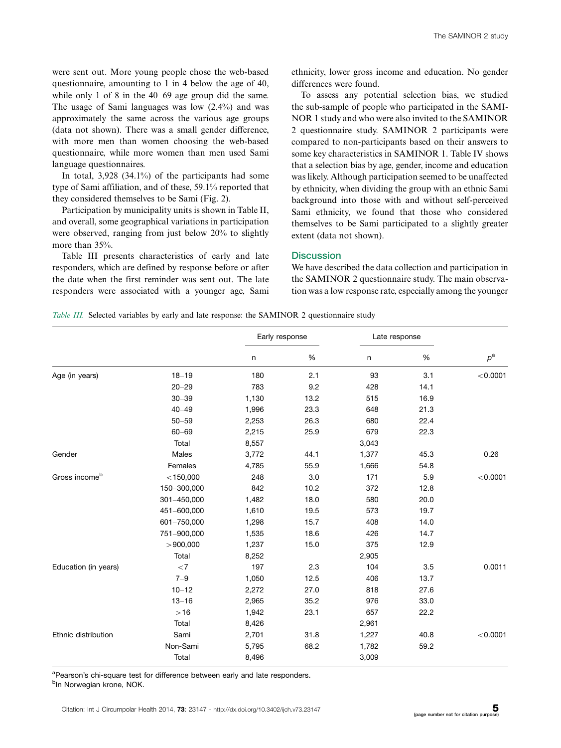were sent out. More young people chose the web-based questionnaire, amounting to 1 in 4 below the age of 40, while only 1 of 8 in the 40-69 age group did the same. The usage of Sami languages was low (2.4%) and was approximately the same across the various age groups (data not shown). There was a small gender difference, with more men than women choosing the web-based questionnaire, while more women than men used Sami language questionnaires.

In total, 3,928 (34.1%) of the participants had some type of Sami affiliation, and of these, 59.1% reported that they considered themselves to be Sami (Fig. 2).

Participation by municipality units is shown in Table II, and overall, some geographical variations in participation were observed, ranging from just below 20% to slightly more than 35%.

Table III presents characteristics of early and late responders, which are defined by response before or after the date when the first reminder was sent out. The late responders were associated with a younger age, Sami

ethnicity, lower gross income and education. No gender differences were found.

To assess any potential selection bias, we studied the sub-sample of people who participated in the SAMI-NOR 1 study and who were also invited to the SAMINOR 2 questionnaire study. SAMINOR 2 participants were compared to non-participants based on their answers to some key characteristics in SAMINOR 1. Table IV shows that a selection bias by age, gender, income and education was likely. Although participation seemed to be unaffected by ethnicity, when dividing the group with an ethnic Sami background into those with and without self-perceived Sami ethnicity, we found that those who considered themselves to be Sami participated to a slightly greater extent (data not shown).

## **Discussion**

We have described the data collection and participation in the SAMINOR 2 questionnaire study. The main observation was a low response rate, especially among the younger

Table III. Selected variables by early and late response: the SAMINOR 2 questionnaire study

|                           |             | Early response |      | Late response |      |             |
|---------------------------|-------------|----------------|------|---------------|------|-------------|
|                           |             | n              | %    | n             | %    | $p^{\rm a}$ |
| Age (in years)            | $18 - 19$   | 180            | 2.1  | 93            | 3.1  | < 0.0001    |
|                           | $20 - 29$   | 783            | 9.2  | 428           | 14.1 |             |
|                           | $30 - 39$   | 1,130          | 13.2 | 515           | 16.9 |             |
|                           | $40 - 49$   | 1,996          | 23.3 | 648           | 21.3 |             |
|                           | $50 - 59$   | 2,253          | 26.3 | 680           | 22.4 |             |
|                           | $60 - 69$   | 2,215          | 25.9 | 679           | 22.3 |             |
|                           | Total       | 8,557          |      | 3,043         |      |             |
| Gender                    | Males       | 3,772          | 44.1 | 1,377         | 45.3 | 0.26        |
|                           | Females     | 4,785          | 55.9 | 1,666         | 54.8 |             |
| Gross income <sup>b</sup> | $<$ 150,000 | 248            | 3.0  | 171           | 5.9  | < 0.0001    |
|                           | 150-300,000 | 842            | 10.2 | 372           | 12.8 |             |
|                           | 301-450,000 | 1,482          | 18.0 | 580           | 20.0 |             |
|                           | 451-600,000 | 1,610          | 19.5 | 573           | 19.7 |             |
|                           | 601-750,000 | 1,298          | 15.7 | 408           | 14.0 |             |
|                           | 751-900,000 | 1,535          | 18.6 | 426           | 14.7 |             |
|                           | >900,000    | 1,237          | 15.0 | 375           | 12.9 |             |
|                           | Total       | 8,252          |      | 2,905         |      |             |
| Education (in years)      | $\lt$ 7     | 197            | 2.3  | 104           | 3.5  | 0.0011      |
|                           | $7 - 9$     | 1,050          | 12.5 | 406           | 13.7 |             |
|                           | $10 - 12$   | 2,272          | 27.0 | 818           | 27.6 |             |
|                           | $13 - 16$   | 2,965          | 35.2 | 976           | 33.0 |             |
|                           | >16         | 1,942          | 23.1 | 657           | 22.2 |             |
|                           | Total       | 8,426          |      | 2,961         |      |             |
| Ethnic distribution       | Sami        | 2,701          | 31.8 | 1,227         | 40.8 | < 0.0001    |
|                           | Non-Sami    | 5,795          | 68.2 | 1,782         | 59.2 |             |
|                           | Total       | 8,496          |      | 3,009         |      |             |

<sup>a</sup>Pearson's chi-square test for difference between early and late responders.

<sup>b</sup>ln Norwegian krone, NOK.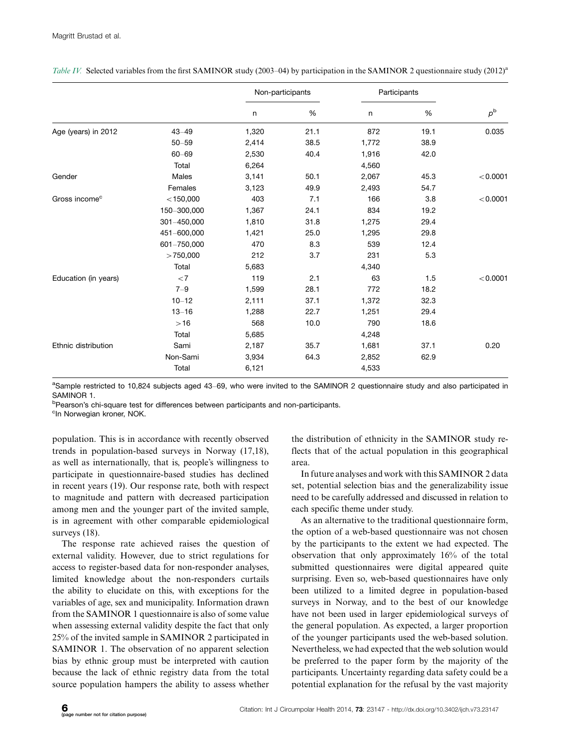|                           |              | Non-participants |      | Participants |      |             |
|---------------------------|--------------|------------------|------|--------------|------|-------------|
|                           |              | n                | $\%$ | n            | $\%$ | $p^{\rm b}$ |
| Age (years) in 2012       | $43 - 49$    | 1,320            | 21.1 | 872          | 19.1 | 0.035       |
|                           | $50 - 59$    | 2,414            | 38.5 | 1,772        | 38.9 |             |
|                           | $60 - 69$    | 2,530            | 40.4 | 1,916        | 42.0 |             |
|                           | Total        | 6,264            |      | 4,560        |      |             |
| Gender                    | <b>Males</b> | 3,141            | 50.1 | 2,067        | 45.3 | < 0.0001    |
|                           | Females      | 3,123            | 49.9 | 2,493        | 54.7 |             |
| Gross income <sup>c</sup> | $<$ 150,000  | 403              | 7.1  | 166          | 3.8  | < 0.0001    |
|                           | 150-300,000  | 1,367            | 24.1 | 834          | 19.2 |             |
|                           | 301-450,000  | 1,810            | 31.8 | 1,275        | 29.4 |             |
|                           | 451-600,000  | 1,421            | 25.0 | 1,295        | 29.8 |             |
|                           | 601-750,000  | 470              | 8.3  | 539          | 12.4 |             |
|                           | >750,000     | 212              | 3.7  | 231          | 5.3  |             |
|                           | Total        | 5,683            |      | 4,340        |      |             |
| Education (in years)      | ${<}7$       | 119              | 2.1  | 63           | 1.5  | < 0.0001    |
|                           | $7 - 9$      | 1,599            | 28.1 | 772          | 18.2 |             |
|                           | $10 - 12$    | 2,111            | 37.1 | 1,372        | 32.3 |             |
|                           | $13 - 16$    | 1,288            | 22.7 | 1,251        | 29.4 |             |
|                           | >16          | 568              | 10.0 | 790          | 18.6 |             |
|                           | Total        | 5,685            |      | 4,248        |      |             |
| Ethnic distribution       | Sami         | 2,187            | 35.7 | 1,681        | 37.1 | 0.20        |
|                           | Non-Sami     | 3,934            | 64.3 | 2,852        | 62.9 |             |
|                           | Total        | 6,121            |      | 4,533        |      |             |

Table IV. Selected variables from the first SAMINOR study (2003-04) by participation in the SAMINOR 2 questionnaire study (2012)<sup>a</sup>

aSample restricted to 10,824 subjects aged 43-69, who were invited to the SAMINOR 2 questionnaire study and also participated in SAMINOR 1.

<sup>b</sup>Pearson's chi-square test for differences between participants and non-participants.

<sup>c</sup>In Norwegian kroner, NOK.

population. This is in accordance with recently observed trends in population-based surveys in Norway (17,18), as well as internationally, that is, people's willingness to participate in questionnaire-based studies has declined in recent years (19). Our response rate, both with respect to magnitude and pattern with decreased participation among men and the younger part of the invited sample, is in agreement with other comparable epidemiological surveys (18).

The response rate achieved raises the question of external validity. However, due to strict regulations for access to register-based data for non-responder analyses, limited knowledge about the non-responders curtails the ability to elucidate on this, with exceptions for the variables of age, sex and municipality. Information drawn from the SAMINOR 1 questionnaire is also of some value when assessing external validity despite the fact that only 25% of the invited sample in SAMINOR 2 participated in SAMINOR 1. The observation of no apparent selection bias by ethnic group must be interpreted with caution because the lack of ethnic registry data from the total source population hampers the ability to assess whether

the distribution of ethnicity in the SAMINOR study reflects that of the actual population in this geographical area.

In future analyses and work with this SAMINOR 2 data set, potential selection bias and the generalizability issue need to be carefully addressed and discussed in relation to each specific theme under study.

As an alternative to the traditional questionnaire form, the option of a web-based questionnaire was not chosen by the participants to the extent we had expected. The observation that only approximately 16% of the total submitted questionnaires were digital appeared quite surprising. Even so, web-based questionnaires have only been utilized to a limited degree in population-based surveys in Norway, and to the best of our knowledge have not been used in larger epidemiological surveys of the general population. As expected, a larger proportion of the younger participants used the web-based solution. Nevertheless, we had expected that the web solution would be preferred to the paper form by the majority of the participants. Uncertainty regarding data safety could be a potential explanation for the refusal by the vast majority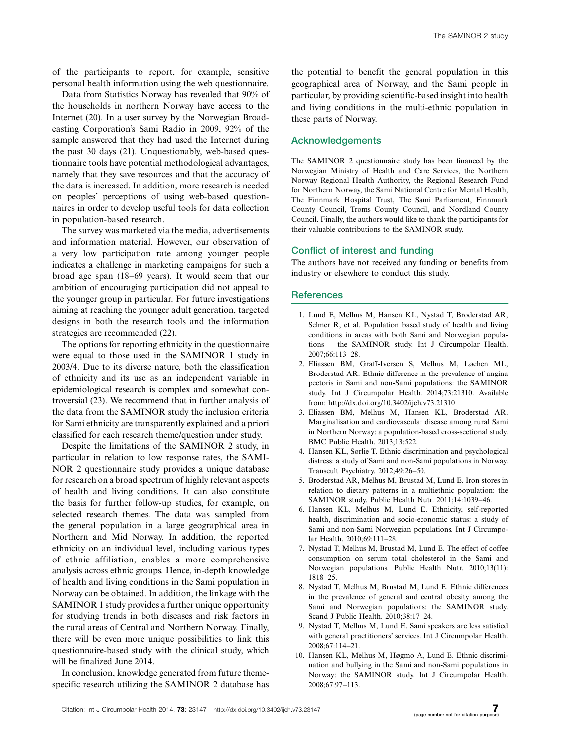of the participants to report, for example, sensitive personal health information using the web questionnaire.

Data from Statistics Norway has revealed that 90% of the households in northern Norway have access to the Internet (20). In a user survey by the Norwegian Broadcasting Corporation's Sami Radio in 2009, 92% of the sample answered that they had used the Internet during the past 30 days (21). Unquestionably, web-based questionnaire tools have potential methodological advantages, namely that they save resources and that the accuracy of the data is increased. In addition, more research is needed on peoples' perceptions of using web-based questionnaires in order to develop useful tools for data collection in population-based research.

The survey was marketed via the media, advertisements and information material. However, our observation of a very low participation rate among younger people indicates a challenge in marketing campaigns for such a broad age span (18-69 years). It would seem that our ambition of encouraging participation did not appeal to the younger group in particular. For future investigations aiming at reaching the younger adult generation, targeted designs in both the research tools and the information strategies are recommended (22).

The options for reporting ethnicity in the questionnaire were equal to those used in the SAMINOR 1 study in 2003/4. Due to its diverse nature, both the classification of ethnicity and its use as an independent variable in epidemiological research is complex and somewhat controversial (23). We recommend that in further analysis of the data from the SAMINOR study the inclusion criteria for Sami ethnicity are transparently explained and a priori classified for each research theme/question under study.

Despite the limitations of the SAMINOR 2 study, in particular in relation to low response rates, the SAMI-NOR 2 questionnaire study provides a unique database for research on a broad spectrum of highly relevant aspects of health and living conditions. It can also constitute the basis for further follow-up studies, for example, on selected research themes. The data was sampled from the general population in a large geographical area in Northern and Mid Norway. In addition, the reported ethnicity on an individual level, including various types of ethnic affiliation, enables a more comprehensive analysis across ethnic groups. Hence, in-depth knowledge of health and living conditions in the Sami population in Norway can be obtained. In addition, the linkage with the SAMINOR 1 study provides a further unique opportunity for studying trends in both diseases and risk factors in the rural areas of Central and Northern Norway. Finally, there will be even more unique possibilities to link this questionnaire-based study with the clinical study, which will be finalized June 2014.

In conclusion, knowledge generated from future themespecific research utilizing the SAMINOR 2 database has the potential to benefit the general population in this geographical area of Norway, and the Sami people in particular, by providing scientific-based insight into health and living conditions in the multi-ethnic population in these parts of Norway.

## Acknowledgements

The SAMINOR 2 questionnaire study has been financed by the Norwegian Ministry of Health and Care Services, the Northern Norway Regional Health Authority, the Regional Research Fund for Northern Norway, the Sami National Centre for Mental Health, The Finnmark Hospital Trust, The Sami Parliament, Finnmark County Council, Troms County Council, and Nordland County Council. Finally, the authors would like to thank the participants for their valuable contributions to the SAMINOR study.

#### Conflict of interest and funding

The authors have not received any funding or benefits from industry or elsewhere to conduct this study.

#### **References**

- 1. Lund E, Melhus M, Hansen KL, Nystad T, Broderstad AR, Selmer R, et al. Population based study of health and living conditions in areas with both Sami and Norwegian populations - the SAMINOR study. Int J Circumpolar Health. 2007;66:113-28.
- 2. Eliassen BM, Graff-Iversen S, Melhus M, Løchen ML, Broderstad AR. Ethnic difference in the prevalence of angina pectoris in Sami and non-Sami populations: the SAMINOR study. Int J Circumpolar Health. 2014;73:21310. Available from:<http://dx.doi.org/10.3402/ijch.v73.21310>
- 3. Eliassen BM, Melhus M, Hansen KL, Broderstad AR. Marginalisation and cardiovascular disease among rural Sami in Northern Norway: a population-based cross-sectional study. BMC Public Health. 2013;13:522.
- 4. Hansen KL, Sørlie T. Ethnic discrimination and psychological distress: a study of Sami and non-Sami populations in Norway. Transcult Psychiatry. 2012;49:26-50.
- 5. Broderstad AR, Melhus M, Brustad M, Lund E. Iron stores in relation to dietary patterns in a multiethnic population: the SAMINOR study. Public Health Nutr. 2011;14:1039-46.
- 6. Hansen KL, Melhus M, Lund E. Ethnicity, self-reported health, discrimination and socio-economic status: a study of Sami and non-Sami Norwegian populations. Int J Circumpolar Health. 2010;69:111-28.
- 7. Nystad T, Melhus M, Brustad M, Lund E. The effect of coffee consumption on serum total cholesterol in the Sami and Norwegian populations. Public Health Nutr. 2010;13(11): 1818-25.
- 8. Nystad T, Melhus M, Brustad M, Lund E. Ethnic differences in the prevalence of general and central obesity among the Sami and Norwegian populations: the SAMINOR study. Scand J Public Health. 2010;38:17-24.
- 9. Nystad T, Melhus M, Lund E. Sami speakers are less satisfied with general practitioners' services. Int J Circumpolar Health. 2008;67:114-21.
- 10. Hansen KL, Melhus M, Høgmo A, Lund E. Ethnic discrimination and bullying in the Sami and non-Sami populations in Norway: the SAMINOR study. Int J Circumpolar Health. 2008;67:97-113.